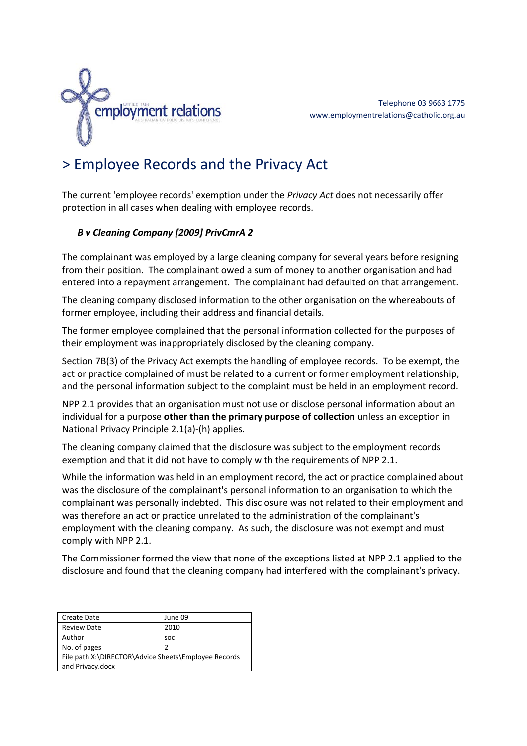

## > Employee Records and the Privacy Act

The current 'employee records' exemption under the *Privacy Act* does not necessarily offer protection in all cases when dealing with employee records.

## *B v Cleaning Company [2009] PrivCmrA 2*

The complainant was employed by a large cleaning company for several years before resigning from their position. The complainant owed a sum of money to another organisation and had entered into a repayment arrangement. The complainant had defaulted on that arrangement.

The cleaning company disclosed information to the other organisation on the whereabouts of former employee, including their address and financial details.

The former employee complained that the personal information collected for the purposes of their employment was inappropriately disclosed by the cleaning company.

Section 7B(3) of the Privacy Act exempts the handling of employee records. To be exempt, the act or practice complained of must be related to a current or former employment relationship, and the personal information subject to the complaint must be held in an employment record.

NPP 2.1 provides that an organisation must not use or disclose personal information about an individual for a purpose **other than the primary purpose of collection** unless an exception in National Privacy Principle 2.1(a)‐(h) applies.

The cleaning company claimed that the disclosure was subject to the employment records exemption and that it did not have to comply with the requirements of NPP 2.1.

While the information was held in an employment record, the act or practice complained about was the disclosure of the complainant's personal information to an organisation to which the complainant was personally indebted. This disclosure was not related to their employment and was therefore an act or practice unrelated to the administration of the complainant's employment with the cleaning company. As such, the disclosure was not exempt and must comply with NPP 2.1.

The Commissioner formed the view that none of the exceptions listed at NPP 2.1 applied to the disclosure and found that the cleaning company had interfered with the complainant's privacy.

| Create Date                                          | June 09    |
|------------------------------------------------------|------------|
| <b>Review Date</b>                                   | 2010       |
| Author                                               | <b>SOC</b> |
| No. of pages                                         | 2          |
| File path X:\DIRECTOR\Advice Sheets\Employee Records |            |
| and Privacy.docx                                     |            |